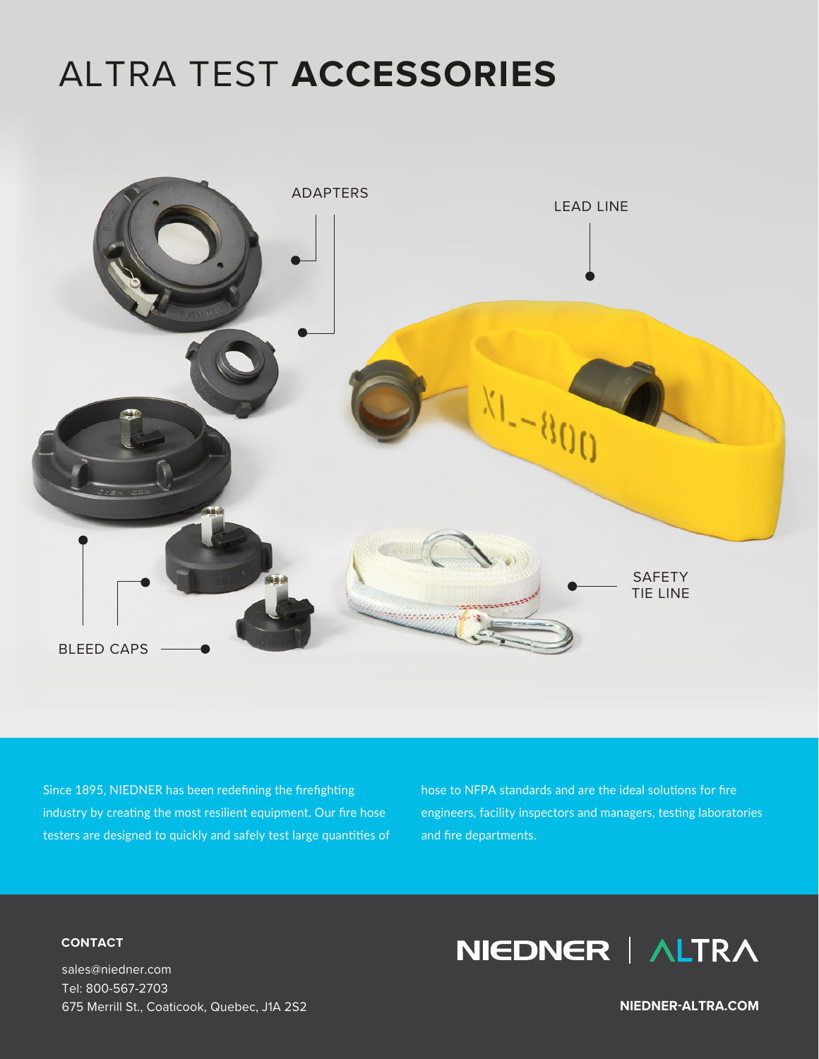# ALTRA TEST **ACCESSORIES**



Since 1895, NIEDNER has been redefining the firefighting industry by creating the most resilient equipment. Our fire hose testers are designed to quickly and safely test large quantities of hose to NFPA standards and are the ideal solutions for fire engineers, facility inspectors and managers, testing laboratories and fire departments.

#### **CONTACT**

sales@niedner.com Tel: 800-567-2703 675 Merrill St., Coaticook, Quebec, J1A 2S2

## NIEDNER | ALTRA

**NIEDNER-ALTRA.COM**